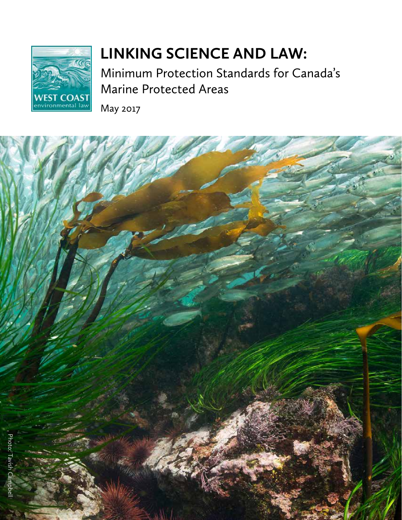

# **LINKING SCIENCE AND LAW:**

Minimum Protection Standards for Canada's Marine Protected Areas

May 2017

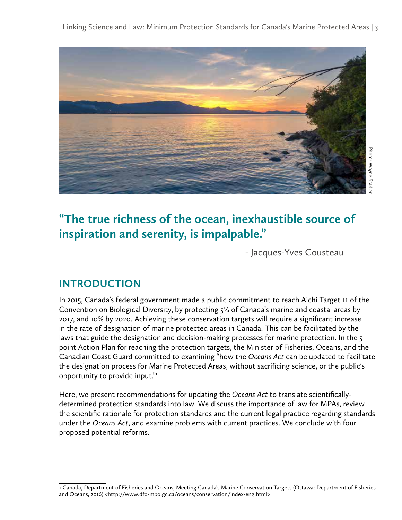Linking Science and Law: Minimum Protection Standards for Canada's Marine Protected Areas | 3



# **"The true richness of the ocean, inexhaustible source of inspiration and serenity, is impalpable."**

- Jacques-Yves Cousteau

# **INTRODUCTION**

In 2015, Canada's federal government made a public commitment to reach Aichi Target 11 of the Convention on Biological Diversity, by protecting 5% of Canada's marine and coastal areas by 2017, and 10% by 2020. Achieving these conservation targets will require a significant increase in the rate of designation of marine protected areas in Canada. This can be facilitated by the laws that guide the designation and decision-making processes for marine protection. In the 5 point Action Plan for reaching the protection targets, the Minister of Fisheries, Oceans, and the Canadian Coast Guard committed to examining "how the *Oceans Act* can be updated to facilitate the designation process for Marine Protected Areas, without sacrificing science, or the public's opportunity to provide input."1

Here, we present recommendations for updating the *Oceans Act* to translate scientificallydetermined protection standards into law. We discuss the importance of law for MPAs, review the scientific rationale for protection standards and the current legal practice regarding standards under the *Oceans Act*, and examine problems with current practices. We conclude with four proposed potential reforms.

<sup>1</sup> Canada, Department of Fisheries and Oceans, Meeting Canada's Marine Conservation Targets (Ottawa: Department of Fisheries and Oceans, 2016) <http://www.dfo-mpo.gc.ca/oceans/conservation/index-eng.html>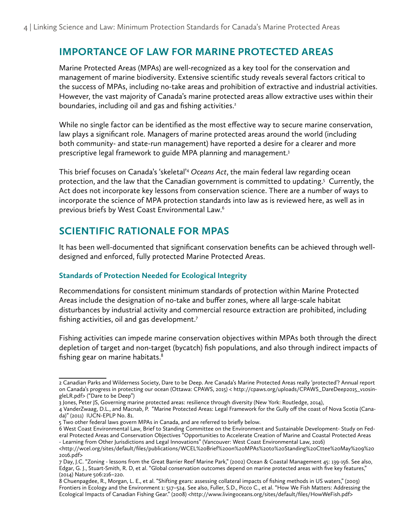### **IMPORTANCE OF LAW FOR MARINE PROTECTED AREAS**

Marine Protected Areas (MPAs) are well-recognized as a key tool for the conservation and management of marine biodiversity. Extensive scientific study reveals several factors critical to the success of MPAs, including no-take areas and prohibition of extractive and industrial activities. However, the vast majority of Canada's marine protected areas allow extractive uses within their boundaries, including oil and gas and fishing activities.<sup>2</sup>

While no single factor can be identified as the most effective way to secure marine conservation, law plays a significant role. Managers of marine protected areas around the world (including both community- and state-run management) have reported a desire for a clearer and more prescriptive legal framework to guide MPA planning and management.<sup>3</sup>

This brief focuses on Canada's 'skeletal'4 *Oceans Act*, the main federal law regarding ocean protection, and the law that the Canadian government is committed to updating.5 Currently, the Act does not incorporate key lessons from conservation science. There are a number of ways to incorporate the science of MPA protection standards into law as is reviewed here, as well as in previous briefs by West Coast Environmental Law.6

## **SCIENTIFIC RATIONALE FOR MPAS**

It has been well-documented that significant conservation benefits can be achieved through welldesigned and enforced, fully protected Marine Protected Areas.

#### **Standards of Protection Needed for Ecological Integrity**

Recommendations for consistent minimum standards of protection within Marine Protected Areas include the designation of no-take and buffer zones, where all large-scale habitat disturbances by industrial activity and commercial resource extraction are prohibited, including fishing activities, oil and gas development.7

Fishing activities can impede marine conservation objectives within MPAs both through the direct depletion of target and non-target (bycatch) fish populations, and also through indirect impacts of fishing gear on marine habitats.<sup>8</sup>

3 Jones, Peter JS, Governing marine protected areas: resilience through diversity (New York: Routledge, 2014),

<sup>2</sup> Canadian Parks and Wilderness Society, Dare to be Deep. Are Canada's Marine Protected Areas really 'protected'? Annual report on Canada's progress in protecting our ocean (Ottawa: CPAWS, 2015) < http://cpaws.org/uploads/CPAWS\_DareDeep2015\_v10singleLR.pdf> ("Dare to be Deep")

<sup>4</sup> VanderZwaag, D.L., and Macnab, P. "Marine Protected Areas: Legal Framework for the Gully off the coast of Nova Scotia (Canada)" (2011) IUCN-EPLP No. 81.

<sup>5</sup> Two other federal laws govern MPAs in Canada, and are referred to briefly below.

<sup>6</sup> West Coast Environmental Law, Brief to Standing Committee on the Environment and Sustainable Development- Study on Federal Protected Areas and Conservation Objectives "Opportunities to Accelerate Creation of Marine and Coastal Protected Areas - Learning from Other Jurisdictions and Legal Innovations" (Vancouver: West Coast Environmental Law, 2016)

<sup>&</sup>lt;http://wcel.org/sites/default/files/publications/WCEL%20Brief%20on%20MPAs%20to%20Standing%20Cttee%20May%209%20 2016.pdf>

<sup>7</sup> Day, J.C. "Zoning - lessons from the Great Barrier Reef Marine Park," (2002) Ocean & Coastal Management 45: 139-156. See also, Edgar, G. J., Stuart-Smith, R. D, et al. "Global conservation outcomes depend on marine protected areas with five key features," (2014) Nature 506:216–220.

<sup>8</sup> Chuenpagdee, R., Morgan, L. E., et al. "Shifting gears: assessing collateral impacts of fishing methods in US waters," (2003) Frontiers in Ecology and the Environment 1: 517–524. See also, Fuller, S.D., Picco C., et al. "How We Fish Matters: Addressing the Ecological Impacts of Canadian Fishing Gear." (2008) <http://www.livingoceans.org/sites/default/files/HowWeFish.pdf>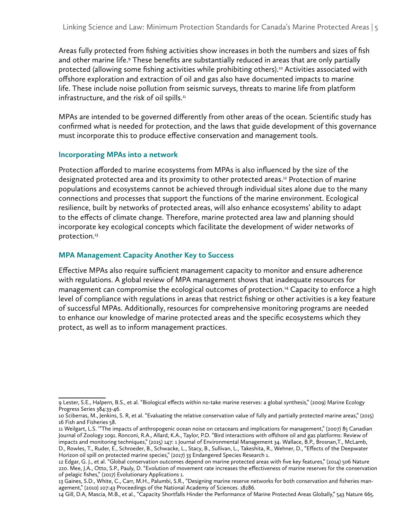Areas fully protected from fishing activities show increases in both the numbers and sizes of fish and other marine life.<sup>9</sup> These benefits are substantially reduced in areas that are only partially protected (allowing some fishing activities while prohibiting others).<sup>10</sup> Activities associated with offshore exploration and extraction of oil and gas also have documented impacts to marine life. These include noise pollution from seismic surveys, threats to marine life from platform infrastructure, and the risk of oil spills. $<sup>11</sup>$ </sup>

MPAs are intended to be governed differently from other areas of the ocean. Scientific study has confirmed what is needed for protection, and the laws that guide development of this governance must incorporate this to produce effective conservation and management tools.

#### **Incorporating MPAs into a network**

Protection afforded to marine ecosystems from MPAs is also influenced by the size of the designated protected area and its proximity to other protected areas.12 Protection of marine populations and ecosystems cannot be achieved through individual sites alone due to the many connections and processes that support the functions of the marine environment. Ecological resilience, built by networks of protected areas, will also enhance ecosystems' ability to adapt to the effects of climate change. Therefore, marine protected area law and planning should incorporate key ecological concepts which facilitate the development of wider networks of protection.<sup>13</sup>

#### **MPA Management Capacity Another Key to Success**

Effective MPAs also require sufficient management capacity to monitor and ensure adherence with regulations. A global review of MPA management shows that inadequate resources for management can compromise the ecological outcomes of protection.<sup>14</sup> Capacity to enforce a high level of compliance with regulations in areas that restrict fishing or other activities is a key feature of successful MPAs. Additionally, resources for comprehensive monitoring programs are needed to enhance our knowledge of marine protected areas and the specific ecosystems which they protect, as well as to inform management practices.

<sup>9</sup> Lester, S.E., Halpern, B.S., et al. "Biological effects within no-take marine reserves: a global synthesis," (2009) Marine Ecology Progress Series 384:33-46.

<sup>10</sup> Sciberras, M., Jenkins, S. R, et al. "Evaluating the relative conservation value of fully and partially protected marine areas," (2015) 16 Fish and Fisheries 58.

<sup>11</sup> Weilgart, L.S. '"The impacts of anthropogenic ocean noise on cetaceans and implications for management," (2007) 85 Canadian Journal of Zoology 1091. Ronconi, R.A., Allard, K.A., Taylor, P.D. "Bird interactions with offshore oil and gas platforms: Review of impacts and monitoring techniques," (2015) 147: 1 Journal of Environmental Management 34. Wallace, B.P., Brosnan,T., McLamb, D., Rowles, T., Ruder, E., Schroeder, B., Schwacke, L., Stacy, B., Sullivan, L., Takeshita, R., Wehner, D., "Effects of the Deepwater Horizon oil spill on protected marine species," (2017) 33 Endangered Species Research 1.

<sup>12</sup> Edgar, G. J., et al. "Global conservation outcomes depend on marine protected areas with five key features," (2014) 506 Nature 220. Mee, J.A., Otto, S.P., Pauly, D. "Evolution of movement rate increases the effectiveness of marine reserves for the conservation of pelagic fishes," (2017) Evolutionary Applications 1.

<sup>13</sup> Gaines, S.D., White, C., Carr, M.H., Palumbi, S.R., "Designing marine reserve networks for both conservation and fisheries management," (2010) 107:43 Proceedings of the National Academy of Sciences. 18286.

<sup>14</sup> Gill, D.A, Mascia, M.B., et al., "Capacity Shortfalls Hinder the Performance of Marine Protected Areas Globally," 543 Nature 665.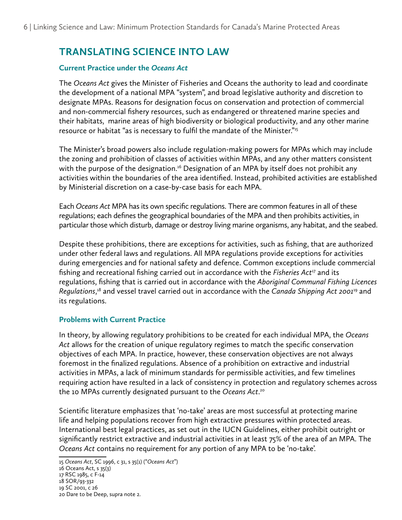# **TRANSLATING SCIENCE INTO LAW**

#### **Current Practice under the** *Oceans Act*

The *Oceans Act* gives the Minister of Fisheries and Oceans the authority to lead and coordinate the development of a national MPA "system", and broad legislative authority and discretion to designate MPAs. Reasons for designation focus on conservation and protection of commercial and non-commercial fishery resources, such as endangered or threatened marine species and their habitats, marine areas of high biodiversity or biological productivity, and any other marine resource or habitat "as is necessary to fulfil the mandate of the Minister."<sup>15</sup>

The Minister's broad powers also include regulation-making powers for MPAs which may include the zoning and prohibition of classes of activities within MPAs, and any other matters consistent with the purpose of the designation.<sup>16</sup> Designation of an MPA by itself does not prohibit any activities within the boundaries of the area identified. Instead, prohibited activities are established by Ministerial discretion on a case-by-case basis for each MPA.

Each *Oceans Act* MPA has its own specific regulations. There are common features in all of these regulations; each defines the geographical boundaries of the MPA and then prohibits activities, in particular those which disturb, damage or destroy living marine organisms, any habitat, and the seabed.

Despite these prohibitions, there are exceptions for activities, such as fishing, that are authorized under other federal laws and regulations. All MPA regulations provide exceptions for activities during emergencies and for national safety and defence. Common exceptions include commercial fishing and recreational fishing carried out in accordance with the *Fisheries Act*17 and its regulations, fishing that is carried out in accordance with the *Aboriginal Communal Fishing Licences Regulations*, 18 and vessel travel carried out in accordance with the *Canada Shipping Act 2001*19 and its regulations.

#### **Problems with Current Practice**

In theory, by allowing regulatory prohibitions to be created for each individual MPA, the *Oceans Act* allows for the creation of unique regulatory regimes to match the specific conservation objectives of each MPA. In practice, however, these conservation objectives are not always foremost in the finalized regulations. Absence of a prohibition on extractive and industrial activities in MPAs, a lack of minimum standards for permissible activities, and few timelines requiring action have resulted in a lack of consistency in protection and regulatory schemes across the 10 MPAs currently designated pursuant to the *Oceans Act*. 20

Scientific literature emphasizes that 'no-take' areas are most successful at protecting marine life and helping populations recover from high extractive pressures within protected areas. International best legal practices, as set out in the IUCN Guidelines, either prohibit outright or significantly restrict extractive and industrial activities in at least 75% of the area of an MPA. The *Oceans Act* contains no requirement for any portion of any MPA to be 'no-take'.

<sup>15</sup> *Oceans Act*, SC 1996, c 31, s 35(1) ("*Oceans Act*")

<sup>16</sup> Oceans Act, s 35(3)

<sup>17</sup> RSC 1985, c F-14

<sup>18</sup> SOR/93-332

<sup>19</sup> SC 2001, c 26

<sup>20</sup> Dare to be Deep, supra note 2.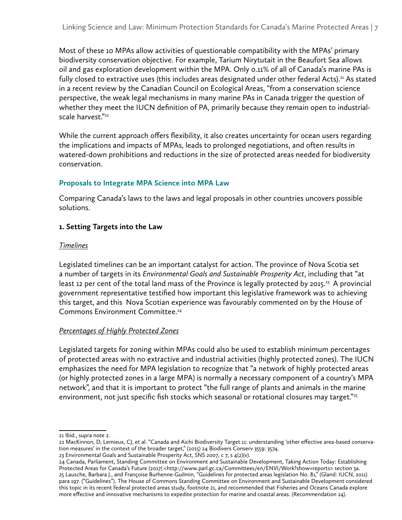Most of these 10 MPAs allow activities of questionable compatibility with the MPAs' primary biodiversity conservation objective. For example, Tarium Nirytutait in the Beaufort Sea allows oil and gas exploration development within the MPA. Only 0.11% of all of Canada's marine PAs is fully closed to extractive uses (this includes areas designated under other federal Acts).<sup>21</sup> As stated in a recent review by the Canadian Council on Ecological Areas, "from a conservation science perspective, the weak legal mechanisms in many marine PAs in Canada trigger the question of whether they meet the IUCN definition of PA, primarily because they remain open to industrialscale harvest."<sup>22</sup>

While the current approach offers flexibility, it also creates uncertainty for ocean users regarding the implications and impacts of MPAs, leads to prolonged negotiations, and often results in watered-down prohibitions and reductions in the size of protected areas needed for biodiversity conservation.

#### **Proposals to Integrate MPA Science into MPA Law**

Comparing Canada's laws to the laws and legal proposals in other countries uncovers possible solutions.

#### **1. Setting Targets into the Law**

#### *Timelines*

Legislated timelines can be an important catalyst for action. The province of Nova Scotia set a number of targets in its *Environmental Goals and Sustainable Prosperity Act*, including that "at least 12 per cent of the total land mass of the Province is legally protected by 2015.<sup>23</sup> A provincial government representative testified how important this legislative framework was to achieving this target, and this Nova Scotian experience was favourably commented on by the House of Commons Environment Committee.24

#### *Percentages of Highly Protected Zones*

Legislated targets for zoning within MPAs could also be used to establish minimum percentages of protected areas with no extractive and industrial activities (highly protected zones). The IUCN emphasizes the need for MPA legislation to recognize that "a network of highly protected areas (or highly protected zones in a large MPA) is normally a necessary component of a country's MPA network", and that it is important to protect "the full range of plants and animals in the marine environment, not just specific fish stocks which seasonal or rotational closures may target."<sup>25</sup>

<sup>21</sup> Ibid., supra note 2.

<sup>22</sup> MacKinnon, D, Lemieux, CJ, et al. "Canada and Aichi Biodiversity Target 11: understanding 'other effective area-based conservation measures' in the context of the broader target," (2015) 24 Biodivers Conserv 3559: 3574.

<sup>23</sup> Environmental Goals and Sustainable Prosperity Act, SNS 2007, c 7, s 4(2)(v).

<sup>24</sup> Canada, Parliament, Standing Committee on Environment and Sustainable Development, Taking Action Today: Establishing Protected Areas for Canada's Future (2017) <http://www.parl.gc.ca/Committees/en/ENVI/Work?show=reports> section 3a. 25 Lausche, Barbara J., and Françoise Burhenne-Guilmin, "Guidelines for protected areas legislation No. 81," (Gland: IUCN, 2011) para 197. ("Guidelines"). The House of Commons Standing Committee on Environment and Sustainable Development considered this topic in its recent federal protected areas study, footnote 21, and recommended that Fisheries and Oceans Canada explore more effective and innovative mechanisms to expedite protection for marine and coastal areas. (Recommendation 24).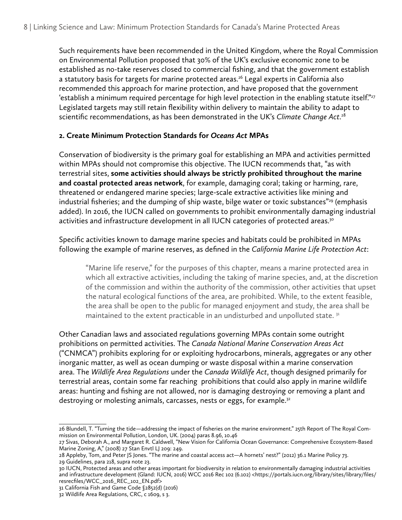Such requirements have been recommended in the United Kingdom, where the Royal Commission on Environmental Pollution proposed that 30% of the UK's exclusive economic zone to be established as no-take reserves closed to commercial fishing, and that the government establish a statutory basis for targets for marine protected areas.<sup>26</sup> Legal experts in California also recommended this approach for marine protection, and have proposed that the government 'establish a minimum required percentage for high level protection in the enabling statute itself."<sup>27</sup> Legislated targets may still retain flexibility within delivery to maintain the ability to adapt to scientific recommendations, as has been demonstrated in the UK's *Climate Change Act*. 28

#### **2. Create Minimum Protection Standards for** *Oceans Act* **MPAs**

Conservation of biodiversity is the primary goal for establishing an MPA and activities permitted within MPAs should not compromise this objective. The IUCN recommends that, "as with terrestrial sites, **some activities should always be strictly prohibited throughout the marine and coastal protected areas network**, for example, damaging coral; taking or harming, rare, threatened or endangered marine species; large-scale extractive activities like mining and industrial fisheries; and the dumping of ship waste, bilge water or toxic substances"<sup>29</sup> (emphasis added). In 2016, the IUCN called on governments to prohibit environmentally damaging industrial activities and infrastructure development in all IUCN categories of protected areas.<sup>30</sup>

Specific activities known to damage marine species and habitats could be prohibited in MPAs following the example of marine reserves, as defined in the *California Marine Life Protection Act*:

"Marine life reserve," for the purposes of this chapter, means a marine protected area in which all extractive activities, including the taking of marine species, and, at the discretion of the commission and within the authority of the commission, other activities that upset the natural ecological functions of the area, are prohibited. While, to the extent feasible, the area shall be open to the public for managed enjoyment and study, the area shall be maintained to the extent practicable in an undisturbed and unpolluted state.<sup>31</sup>

Other Canadian laws and associated regulations governing MPAs contain some outright prohibitions on permitted activities. The *Canada National Marine Conservation Areas Act* ("CNMCA") prohibits exploring for or exploiting hydrocarbons, minerals, aggregates or any other inorganic matter, as well as ocean dumping or waste disposal within a marine conservation area. The *Wildlife Area Regulations* under the *Canada Wildlife Act*, though designed primarily for terrestrial areas, contain some far reaching prohibitions that could also apply in marine wildlife areas: hunting and fishing are not allowed, nor is damaging destroying or removing a plant and destroying or molesting animals, carcasses, nests or eggs, for example.<sup>32</sup>

<sup>26</sup> Blundell, T. "Turning the tide—addressing the impact of fisheries on the marine environment." 25th Report of The Royal Commission on Environmental Pollution, London, UK. (2004) paras 8.96, 10.46

<sup>27</sup> Sivas, Deborah A., and Margaret R. Caldwell, "New Vision for California Ocean Governance: Comprehensive Ecosystem-Based Marine Zoning, A," (2008) 27 Stan Envtl LJ 209: 249.

<sup>28</sup> Appleby, Tom, and Peter JS Jones. "The marine and coastal access act—A hornets' nest?" (2012) 36.1 Marine Policy 73.

<sup>29</sup> Guidelines, para 218, supra note 23.

<sup>30</sup> IUCN, Protected areas and other areas important for biodiversity in relation to environmentally damaging industrial activities and infrastructure development (Gland: IUCN, 2016) WCC 2016 Rec 102 (6.102) <https://portals.iucn.org/library/sites/library/files/ resrecfiles/WCC\_2016\_REC\_102\_EN.pdf>

<sup>31</sup> California Fish and Game Code §2852(d) (2016)

<sup>32</sup> Wildlife Area Regulations, CRC, c 1609, s 3.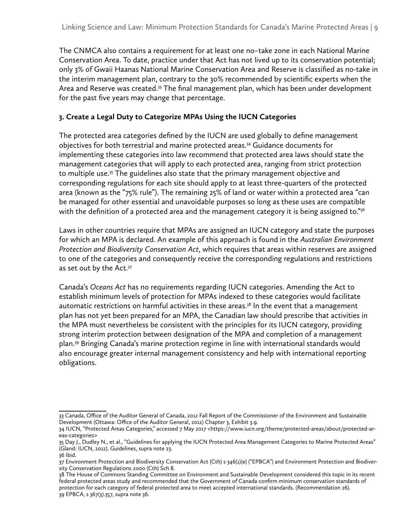The CNMCA also contains a requirement for at least one no–take zone in each National Marine Conservation Area. To date, practice under that Act has not lived up to its conservation potential; only 3% of Gwaii Haanas National Marine Conservation Area and Reserve is classified as no-take in the interim management plan, contrary to the 30% recommended by scientific experts when the Area and Reserve was created.<sup>33</sup> The final management plan, which has been under development for the past five years may change that percentage.

#### **3. Create a Legal Duty to Categorize MPAs Using the IUCN Categories**

The protected area categories defined by the IUCN are used globally to define management objectives for both terrestrial and marine protected areas.34 Guidance documents for implementing these categories into law recommend that protected area laws should state the management categories that will apply to each protected area, ranging from strict protection to multiple use.<sup>35</sup> The guidelines also state that the primary management objective and corresponding regulations for each site should apply to at least three-quarters of the protected area (known as the "75% rule"). The remaining 25% of land or water within a protected area "can be managed for other essential and unavoidable purposes so long as these uses are compatible with the definition of a protected area and the management category it is being assigned to."<sup>36</sup>

Laws in other countries require that MPAs are assigned an IUCN category and state the purposes for which an MPA is declared. An example of this approach is found in the *Australian Environment Protection and Biodiversity Conservation Act*, which requires that areas within reserves are assigned to one of the categories and consequently receive the corresponding regulations and restrictions as set out by the Act.<sup>37</sup>

Canada's *Oceans Act* has no requirements regarding IUCN categories. Amending the Act to establish minimum levels of protection for MPAs indexed to these categories would facilitate automatic restrictions on harmful activities in these areas.<sup>38</sup> In the event that a management plan has not yet been prepared for an MPA, the Canadian law should prescribe that activities in the MPA must nevertheless be consistent with the principles for its IUCN category, providing strong interim protection between designation of the MPA and completion of a management plan.39 Bringing Canada's marine protection regime in line with international standards would also encourage greater internal management consistency and help with international reporting obligations.

<sup>33</sup> Canada, Office of the Auditor General of Canada, 2012 Fall Report of the Commissioner of the Environment and Sustainable Development (Ottawa: Office of the Auditor General, 2012) Chapter 3, Exhibit 3.9.

<sup>34</sup> IUCN, "Protected Areas Categories," accessed 7 May 2017 <https://www.iucn.org/theme/protected-areas/about/protected-areas-categories>

<sup>35</sup> Day J., Dudley N., et al., "Guidelines for applying the IUCN Protected Area Management Categories to Marine Protected Areas" (Gland: IUCN, 2012). Guidelines, supra note 23.

<sup>36</sup> Ibid.

<sup>37</sup> Environment Protection and Biodiversity Conservation Act (Cth) s 346(1)(e) ("EPBCA") and Environment Protection and Biodiversity Conservation Regulations 2000 (Cth) Sch 8.

<sup>38</sup> The House of Commons Standing Committee on Environment and Sustainable Development considered this topic in its recent federal protected areas study and recommended that the Government of Canada confirm minimum conservation standards of protection for each category of federal protected area to meet accepted international standards. (Recommendation 26). 39 EPBCA, s 367(3).357, supra note 36.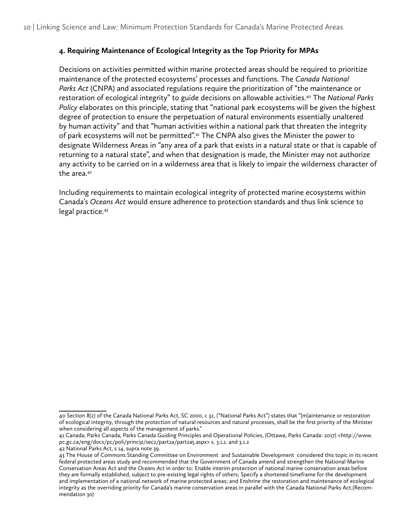#### **4. Requiring Maintenance of Ecological Integrity as the Top Priority for MPAs**

Decisions on activities permitted within marine protected areas should be required to prioritize maintenance of the protected ecosystems' processes and functions. The *Canada National Parks Act* (CNPA) and associated regulations require the prioritization of "the maintenance or restoration of ecological integrity" to guide decisions on allowable activities.40 The *National Parks Policy* elaborates on this principle, stating that "national park ecosystems will be given the highest degree of protection to ensure the perpetuation of natural environments essentially unaltered by human activity" and that "human activities within a national park that threaten the integrity of park ecosystems will not be permitted".<sup>41</sup> The CNPA also gives the Minister the power to designate Wilderness Areas in "any area of a park that exists in a natural state or that is capable of returning to a natural state", and when that designation is made, the Minister may not authorize any activity to be carried on in a wilderness area that is likely to impair the wilderness character of the area.<sup>42</sup>

Including requirements to maintain ecological integrity of protected marine ecosystems within Canada's *Oceans Act* would ensure adherence to protection standards and thus link science to legal practice.43

<sup>40</sup> Section 8(2) of the Canada National Parks Act, SC 2000, c 32, ("National Parks Act") states that "[m]aintenance or restoration of ecological integrity, through the protection of natural resources and natural processes, shall be the first priority of the Minister when considering all aspects of the management of parks."

<sup>41</sup> Canada, Parks Canada, Parks Canada Guiding Principles and Operational Policies, (Ottawa, Parks Canada: 2017) <http://www. pc.gc.ca/eng/docs/pc/poli/princip/sec2/part2a/part2a5.aspx> s. 3.1.1. and 3.1.2

<sup>42</sup> National Parks Act, s 14, supra note 39.

<sup>43</sup> The House of Commons Standing Committee on Environment and Sustainable Development considered this topic in its recent federal protected areas study and recommended that the Government of Canada amend and strengthen the National Marine Conservation Areas Act and the *Oceans Act* in order to: Enable interim protection of national marine conservation areas before they are formally established, subject to pre-existing legal rights of others; Specify a shortened timeframe for the development and implementation of a national network of marine protected areas; and Enshrine the restoration and maintenance of ecological integrity as the overriding priority for Canada's marine conservation areas in parallel with the Canada National Parks Act.(Recommendation 30)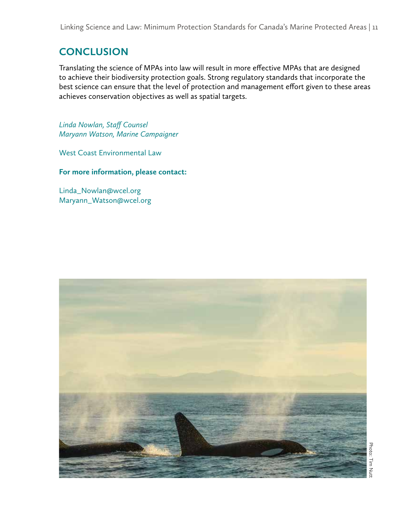Linking Science and Law: Minimum Protection Standards for Canada's Marine Protected Areas | 11

# **CONCLUSION**

Translating the science of MPAs into law will result in more effective MPAs that are designed to achieve their biodiversity protection goals. Strong regulatory standards that incorporate the best science can ensure that the level of protection and management effort given to these areas achieves conservation objectives as well as spatial targets.

*Linda Nowlan, Staff Counsel Maryann Watson, Marine Campaigner*

West Coast Environmental Law

**For more information, please contact:**

Linda\_Nowlan@wcel.org Maryann\_Watson@wcel.org